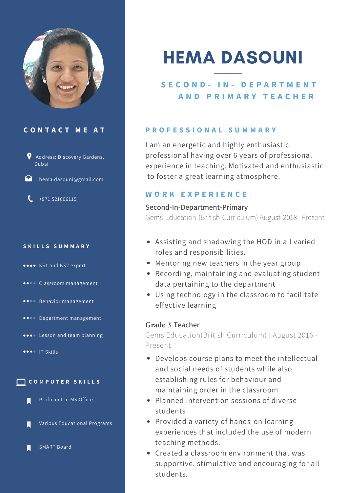

# **C O N T A C T M E A T**



hema.dasouni@gmail.com

 $\binom{1}{2}$  +971 521606115

#### **S K I L L S S U M M A R Y**

- **\*\*\*\*** KS1 and KS2 expert
- **...** Classroom management
- **\*\*\*\*** Behavior management
- **...** Department management
- **...** Lesson and team planning
- **OOO** IT Skills



Proficient in MS Office

Various Educational Programs

SMART Board

# HEMA DASOUNI

# **S E C O N D - I N - D E P A R T M E N T A N D P R I M A R Y T E A C H E R**

# **P R O F E S S I O N A L S U M M A R Y**

I am an energetic and highly enthusiastic professional having over 6 years of professional experience in teaching. Motivated and enthusiastic to foster a great learning atmosphere.

# **W O R K E X P E R I E N C E**

#### **Second-In-Department-Primary**

Gems Education (British Curriculum)|August 2018 -Present

- Assisting and shadowing the HOD in all varied roles and responsibilities.
- Mentoring new teachers in the year group
- Recording, maintaining and evaluating student data pertaining to the department
- Using technology in the classroom to facilitate effective learning

## **Grade 3 Teacher**

Gems Education(British Curriculum) | August 2016 - Present

- Develops course plans to meet the intellectual and social needs of students while also establishing rules for behaviour and maintaining order in the classroom
- Planned intervention sessions of diverse students
- Provided a variety of hands-on learning experiences that included the use of modern teaching methods.
- Created a classroom environment that was supportive, stimulative and encouraging for all students.